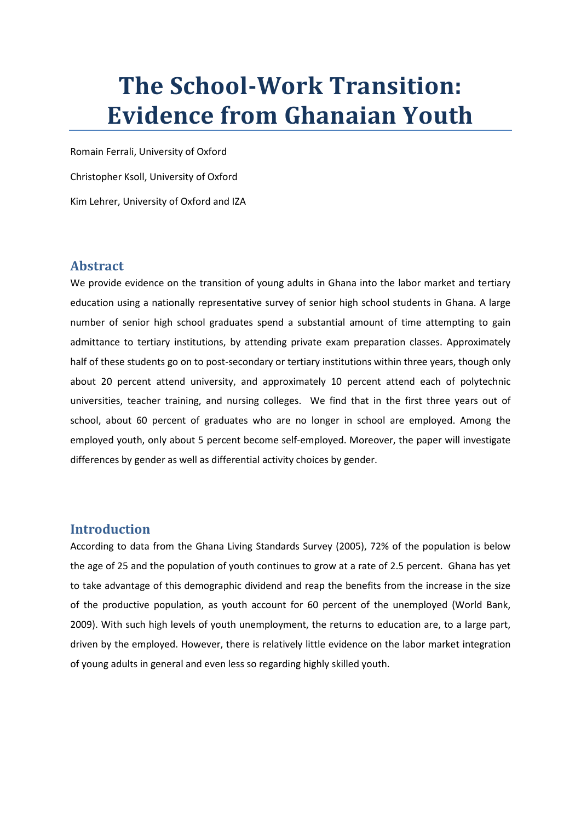# **The School-Work Transition: Evidence from Ghanaian Youth**

Romain Ferrali, University of Oxford Christopher Ksoll, University of Oxford Kim Lehrer, University of Oxford and IZA

### **Abstract**

We provide evidence on the transition of young adults in Ghana into the labor market and tertiary education using a nationally representative survey of senior high school students in Ghana. A large number of senior high school graduates spend a substantial amount of time attempting to gain admittance to tertiary institutions, by attending private exam preparation classes. Approximately half of these students go on to post-secondary or tertiary institutions within three years, though only about 20 percent attend university, and approximately 10 percent attend each of polytechnic universities, teacher training, and nursing colleges. We find that in the first three years out of school, about 60 percent of graduates who are no longer in school are employed. Among the employed youth, only about 5 percent become self-employed. Moreover, the paper will investigate differences by gender as well as differential activity choices by gender.

#### **Introduction**

According to data from the Ghana Living Standards Survey (2005), 72% of the population is below the age of 25 and the population of youth continues to grow at a rate of 2.5 percent. Ghana has yet to take advantage of this demographic dividend and reap the benefits from the increase in the size of the productive population, as youth account for 60 percent of the unemployed (World Bank, 2009). With such high levels of youth unemployment, the returns to education are, to a large part, driven by the employed. However, there is relatively little evidence on the labor market integration of young adults in general and even less so regarding highly skilled youth.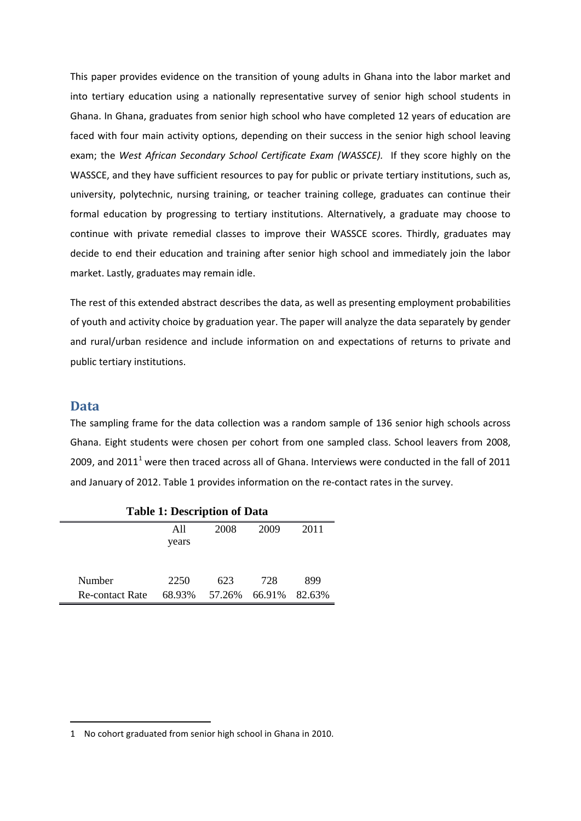This paper provides evidence on the transition of young adults in Ghana into the labor market and into tertiary education using a nationally representative survey of senior high school students in Ghana. In Ghana, graduates from senior high school who have completed 12 years of education are faced with four main activity options, depending on their success in the senior high school leaving exam; the *West African Secondary School Certificate Exam (WASSCE).* If they score highly on the WASSCE, and they have sufficient resources to pay for public or private tertiary institutions, such as, university, polytechnic, nursing training, or teacher training college, graduates can continue their formal education by progressing to tertiary institutions. Alternatively, a graduate may choose to continue with private remedial classes to improve their WASSCE scores. Thirdly, graduates may decide to end their education and training after senior high school and immediately join the labor market. Lastly, graduates may remain idle.

The rest of this extended abstract describes the data, as well as presenting employment probabilities of youth and activity choice by graduation year. The paper will analyze the data separately by gender and rural/urban residence and include information on and expectations of returns to private and public tertiary institutions.

#### **Data**

.<br>-

The sampling frame for the data collection was a random sample of 136 senior high schools across Ghana. Eight students were chosen per cohort from one sampled class. School leavers from 2008, 2009, and 20[1](#page-1-0)1<sup>1</sup> were then traced across all of Ghana. Interviews were conducted in the fall of 2011 and January of 2012. Table 1 provides information on the re-contact rates in the survey.

| Table 1: Description of Data |              |        |        |        |  |  |  |  |
|------------------------------|--------------|--------|--------|--------|--|--|--|--|
|                              | All<br>years | 2008   | 2009   | 2011   |  |  |  |  |
| Number                       | 2250         | 623    | 728    | 899    |  |  |  |  |
| <b>Re-contact Rate</b>       | 68.93%       | 57.26% | 66.91% | 82.63% |  |  |  |  |

**Table 1: Description of Data**

<span id="page-1-0"></span><sup>1</sup> No cohort graduated from senior high school in Ghana in 2010.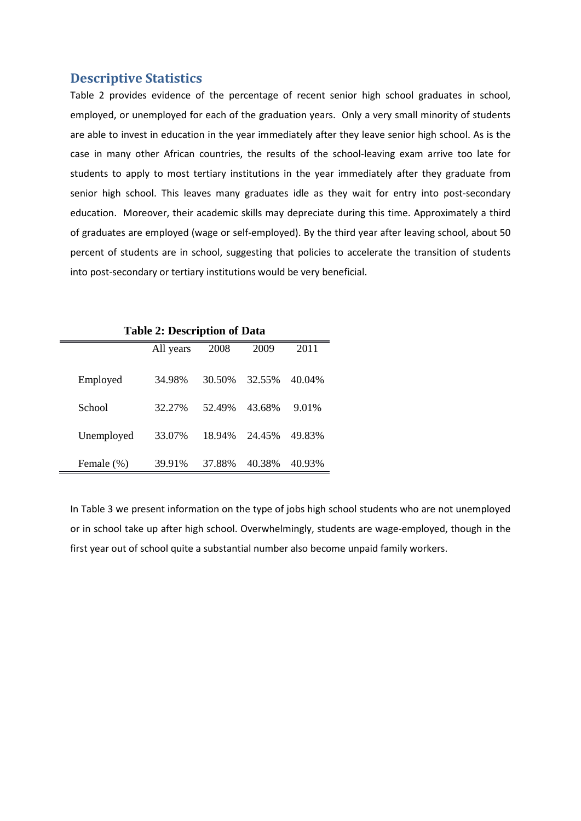#### **Descriptive Statistics**

Table 2 provides evidence of the percentage of recent senior high school graduates in school, employed, or unemployed for each of the graduation years. Only a very small minority of students are able to invest in education in the year immediately after they leave senior high school. As is the case in many other African countries, the results of the school-leaving exam arrive too late for students to apply to most tertiary institutions in the year immediately after they graduate from senior high school. This leaves many graduates idle as they wait for entry into post-secondary education. Moreover, their academic skills may depreciate during this time. Approximately a third of graduates are employed (wage or self-employed). By the third year after leaving school, about 50 percent of students are in school, suggesting that policies to accelerate the transition of students into post-secondary or tertiary institutions would be very beneficial.

| <b>Table 2: Description of Data</b> |           |        |        |        |  |  |  |
|-------------------------------------|-----------|--------|--------|--------|--|--|--|
|                                     | All years | 2008   | 2009   | 2011   |  |  |  |
|                                     |           |        |        |        |  |  |  |
| Employed                            | 34.98%    | 30.50% | 32.55% | 40.04% |  |  |  |
|                                     |           |        |        |        |  |  |  |
| School                              | 32.27%    | 52.49% | 43.68% | 9.01%  |  |  |  |
|                                     |           |        |        |        |  |  |  |
| Unemployed                          | 33.07%    | 18.94% | 24.45% | 49.83% |  |  |  |
|                                     |           |        |        |        |  |  |  |
| Female (%)                          | 39.91%    | 37.88% | 40.38% | 40.93% |  |  |  |

In Table 3 we present information on the type of jobs high school students who are not unemployed or in school take up after high school. Overwhelmingly, students are wage-employed, though in the first year out of school quite a substantial number also become unpaid family workers.